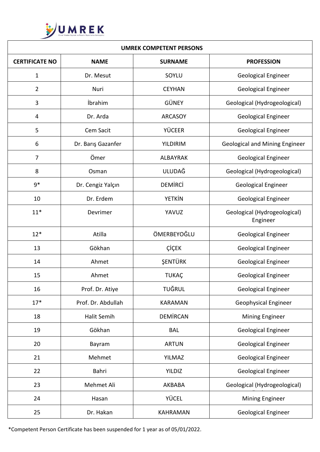

| <b>UMREK COMPETENT PERSONS</b> |                    |                 |                                          |  |
|--------------------------------|--------------------|-----------------|------------------------------------------|--|
| <b>CERTIFICATE NO</b>          | <b>NAME</b>        | <b>SURNAME</b>  | <b>PROFESSION</b>                        |  |
| 1                              | Dr. Mesut          | SOYLU           | <b>Geological Engineer</b>               |  |
| $\overline{2}$                 | Nuri               | <b>CEYHAN</b>   | <b>Geological Engineer</b>               |  |
| 3                              | <i>ibrahim</i>     | GÜNEY           | Geological (Hydrogeological)             |  |
| 4                              | Dr. Arda           | <b>ARCASOY</b>  | <b>Geological Engineer</b>               |  |
| 5                              | Cem Sacit          | <b>YÜCEER</b>   | <b>Geological Engineer</b>               |  |
| 6                              | Dr. Barış Gazanfer | <b>YILDIRIM</b> | <b>Geological and Mining Engineer</b>    |  |
| $\overline{7}$                 | Ömer               | <b>ALBAYRAK</b> | <b>Geological Engineer</b>               |  |
| 8                              | Osman              | <b>ULUDAĞ</b>   | Geological (Hydrogeological)             |  |
| $9*$                           | Dr. Cengiz Yalçın  | <b>DEMIRCI</b>  | <b>Geological Engineer</b>               |  |
| 10                             | Dr. Erdem          | <b>YETKİN</b>   | <b>Geological Engineer</b>               |  |
| $11*$                          | Devrimer           | YAVUZ           | Geological (Hydrogeological)<br>Engineer |  |
| $12*$                          | Atilla             | ÖMERBEYOĞLU     | <b>Geological Engineer</b>               |  |
| 13                             | Gökhan             | ÇİÇEK           | <b>Geological Engineer</b>               |  |
| 14                             | Ahmet              | ŞENTÜRK         | <b>Geological Engineer</b>               |  |
| 15                             | Ahmet              | <b>TUKAÇ</b>    | <b>Geological Engineer</b>               |  |
| 16                             | Prof. Dr. Atiye    | <b>TUĞRUL</b>   | <b>Geological Engineer</b>               |  |
| $17*$                          | Prof. Dr. Abdullah | <b>KARAMAN</b>  | <b>Geophysical Engineer</b>              |  |
| 18                             | Halit Semih        | <b>DEMİRCAN</b> | Mining Engineer                          |  |
| 19                             | Gökhan             | <b>BAL</b>      | <b>Geological Engineer</b>               |  |
| 20                             | Bayram             | <b>ARTUN</b>    | <b>Geological Engineer</b>               |  |
| 21                             | Mehmet             | <b>YILMAZ</b>   | <b>Geological Engineer</b>               |  |
| 22                             | Bahri              | <b>YILDIZ</b>   | Geological Engineer                      |  |
| 23                             | Mehmet Ali         | AKBABA          | Geological (Hydrogeological)             |  |
| 24                             | Hasan              | YÜCEL           | Mining Engineer                          |  |
| 25                             | Dr. Hakan          | <b>KAHRAMAN</b> | <b>Geological Engineer</b>               |  |

\*Competent Person Certificate has been suspended for 1 year as of 05/01/2022.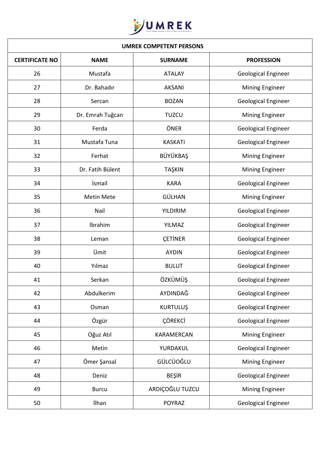

| <b>UMREK COMPETENT PERSONS</b> |                  |                 |                            |
|--------------------------------|------------------|-----------------|----------------------------|
| <b>CERTIFICATE NO</b>          | <b>NAME</b>      | <b>SURNAME</b>  | <b>PROFESSION</b>          |
| 26                             | Mustafa          | <b>ATALAY</b>   | <b>Geological Engineer</b> |
| 27                             | Dr. Bahadır      | <b>AKSANI</b>   | <b>Mining Engineer</b>     |
| 28                             | Sercan           | <b>BOZAN</b>    | Geological Engineer        |
| 29                             | Dr. Emrah Tuğcan | <b>TUZCU</b>    | <b>Mining Engineer</b>     |
| 30                             | Ferda            | ÖNER            | Geological Engineer        |
| 31                             | Mustafa Tuna     | <b>KASKATI</b>  | Geological Engineer        |
| 32                             | Ferhat           | <b>BÜYÜKBAŞ</b> | <b>Mining Engineer</b>     |
| 33                             | Dr. Fatih Bülent | <b>TAŞKIN</b>   | <b>Mining Engineer</b>     |
| 34                             | <i>ismail</i>    | <b>KARA</b>     | <b>Geological Engineer</b> |
| 35                             | Metin Mete       | GÜLHAN          | <b>Mining Engineer</b>     |
| 36                             | Nail             | <b>YILDIRIM</b> | <b>Geological Engineer</b> |
| 37                             | İbrahim          | YILMAZ          | <b>Geological Engineer</b> |
| 38                             | Leman            | <b>CETINER</b>  | <b>Geological Engineer</b> |
| 39                             | Ümit             | <b>AYDIN</b>    | <b>Geological Engineer</b> |
| 40                             | Yılmaz           | <b>BULUT</b>    | <b>Geological Engineer</b> |
| 41                             | Serkan           | ÖZKÜMÜŞ         | <b>Geological Engineer</b> |
| 42                             | Abdulkerim       | AYDINDAĞ        | <b>Geological Engineer</b> |
| 43                             | Osman            | <b>KURTULUŞ</b> | <b>Geological Engineer</b> |
| 44                             | Özgür            | ÇÖREKCİ         | Geological Engineer        |
| 45                             | Oğuz Atıl        | KARAMERCAN      | <b>Mining Engineer</b>     |
| 46                             | Metin            | YURDAKUL        | <b>Geological Engineer</b> |
| 47                             | Ömer Şansal      | GÜLCÜOĞLU       | Mining Engineer            |
| 48                             | Deniz            | <b>BEŞİR</b>    | Geological Engineer        |
| 49                             | <b>Burcu</b>     | ARDIÇOĞLU TUZCU | <b>Mining Engineer</b>     |
| 50                             | <b>ilhan</b>     | <b>POYRAZ</b>   | Geological Engineer        |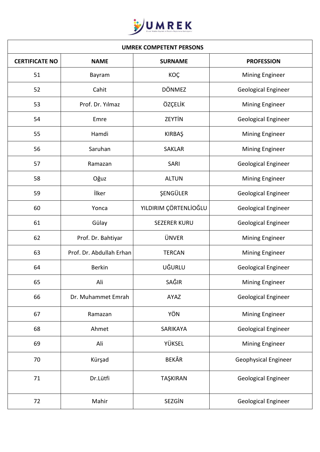

| <b>UMREK COMPETENT PERSONS</b> |                          |                       |                             |
|--------------------------------|--------------------------|-----------------------|-----------------------------|
| <b>CERTIFICATE NO</b>          | <b>NAME</b>              | <b>SURNAME</b>        | <b>PROFESSION</b>           |
| 51                             | Bayram                   | KOÇ                   | Mining Engineer             |
| 52                             | Cahit                    | <b>DÖNMEZ</b>         | Geological Engineer         |
| 53                             | Prof. Dr. Yılmaz         | ÖZÇELİK               | Mining Engineer             |
| 54                             | Emre                     | <b>ZEYTİN</b>         | Geological Engineer         |
| 55                             | Hamdi                    | <b>KIRBAŞ</b>         | Mining Engineer             |
| 56                             | Saruhan                  | <b>SAKLAR</b>         | Mining Engineer             |
| 57                             | Ramazan                  | SARI                  | Geological Engineer         |
| 58                             | Oğuz                     | <b>ALTUN</b>          | <b>Mining Engineer</b>      |
| 59                             | ilker                    | ŞENGÜLER              | <b>Geological Engineer</b>  |
| 60                             | Yonca                    | YILDIRIM ÇÖRTENLİOĞLU | Geological Engineer         |
| 61                             | Gülay                    | <b>SEZERER KURU</b>   | Geological Engineer         |
| 62                             | Prof. Dr. Bahtiyar       | <b>ÜNVER</b>          | Mining Engineer             |
| 63                             | Prof. Dr. Abdullah Erhan | <b>TERCAN</b>         | Mining Engineer             |
| 64                             | <b>Berkin</b>            | UĞURLU                | <b>Geological Engineer</b>  |
| 65                             | Ali                      | SAĞIR                 | <b>Mining Engineer</b>      |
| 66                             | Dr. Muhammet Emrah       | AYAZ                  | Geological Engineer         |
| 67                             | Ramazan                  | YÖN                   | Mining Engineer             |
| 68                             | Ahmet                    | SARIKAYA              | Geological Engineer         |
| 69                             | Ali                      | YÜKSEL                | Mining Engineer             |
| 70                             | Kürşad                   | <b>BEKÂR</b>          | <b>Geophysical Engineer</b> |
| 71                             | Dr.Lütfi                 | TAŞKIRAN              | Geological Engineer         |
| 72                             | Mahir                    | SEZGİN                | <b>Geological Engineer</b>  |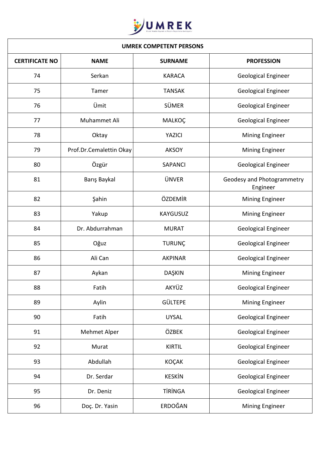

| <b>UMREK COMPETENT PERSONS</b> |                         |                 |                                        |
|--------------------------------|-------------------------|-----------------|----------------------------------------|
| <b>CERTIFICATE NO</b>          | <b>NAME</b>             | <b>SURNAME</b>  | <b>PROFESSION</b>                      |
| 74                             | Serkan                  | <b>KARACA</b>   | Geological Engineer                    |
| 75                             | Tamer                   | <b>TANSAK</b>   | Geological Engineer                    |
| 76                             | Ümit                    | <b>SÜMER</b>    | <b>Geological Engineer</b>             |
| 77                             | Muhammet Ali            | MALKOÇ          | Geological Engineer                    |
| 78                             | Oktay                   | YAZICI          | <b>Mining Engineer</b>                 |
| 79                             | Prof.Dr.Cemalettin Okay | <b>AKSOY</b>    | Mining Engineer                        |
| 80                             | Özgür                   | <b>SAPANCI</b>  | <b>Geological Engineer</b>             |
| 81                             | Barış Baykal            | <b>ÜNVER</b>    | Geodesy and Photogrammetry<br>Engineer |
| 82                             | Şahin                   | ÖZDEMİR         | Mining Engineer                        |
| 83                             | Yakup                   | <b>KAYGUSUZ</b> | Mining Engineer                        |
| 84                             | Dr. Abdurrahman         | <b>MURAT</b>    | Geological Engineer                    |
| 85                             | Oğuz                    | <b>TURUNÇ</b>   | <b>Geological Engineer</b>             |
| 86                             | Ali Can                 | <b>AKPINAR</b>  | <b>Geological Engineer</b>             |
| 87                             | Aykan                   | <b>DAŞKIN</b>   | <b>Mining Engineer</b>                 |
| 88                             | Fatih                   | AKYÜZ           | Geological Engineer                    |
| 89                             | Aylin                   | <b>GÜLTEPE</b>  | Mining Engineer                        |
| 90                             | Fatih                   | <b>UYSAL</b>    | Geological Engineer                    |
| 91                             | Mehmet Alper            | ÖZBEK           | Geological Engineer                    |
| 92                             | Murat                   | <b>KIRTIL</b>   | Geological Engineer                    |
| 93                             | Abdullah                | <b>KOÇAK</b>    | Geological Engineer                    |
| 94                             | Dr. Serdar              | <b>KESKİN</b>   | Geological Engineer                    |
| 95                             | Dr. Deniz               | <b>TİRİNGA</b>  | Geological Engineer                    |
| 96                             | Doç. Dr. Yasin          | ERDOĞAN         | Mining Engineer                        |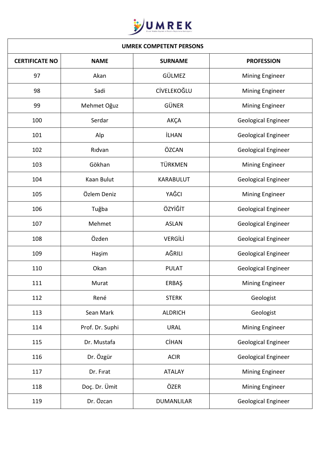

| <b>UMREK COMPETENT PERSONS</b> |                 |                    |                            |
|--------------------------------|-----------------|--------------------|----------------------------|
| <b>CERTIFICATE NO</b>          | <b>NAME</b>     | <b>SURNAME</b>     | <b>PROFESSION</b>          |
| 97                             | Akan            | GÜLMEZ             | Mining Engineer            |
| 98                             | Sadi            | <b>CİVELEKOĞLU</b> | Mining Engineer            |
| 99                             | Mehmet Oğuz     | GÜNER              | <b>Mining Engineer</b>     |
| 100                            | Serdar          | AKÇA               | Geological Engineer        |
| 101                            | Alp             | <b>İLHAN</b>       | Geological Engineer        |
| 102                            | Ridvan          | ÖZCAN              | <b>Geological Engineer</b> |
| 103                            | Gökhan          | TÜRKMEN            | Mining Engineer            |
| 104                            | Kaan Bulut      | <b>KARABULUT</b>   | <b>Geological Engineer</b> |
| 105                            | Özlem Deniz     | YAĞCI              | Mining Engineer            |
| 106                            | Tuğba           | ÖZYİĞİT            | Geological Engineer        |
| 107                            | Mehmet          | <b>ASLAN</b>       | Geological Engineer        |
| 108                            | Özden           | VERGİLİ            | <b>Geological Engineer</b> |
| 109                            | Haşim           | AĞRILI             | <b>Geological Engineer</b> |
| 110                            | Okan            | <b>PULAT</b>       | <b>Geological Engineer</b> |
| 111                            | Murat           | <b>ERBAŞ</b>       | <b>Mining Engineer</b>     |
| 112                            | René            | <b>STERK</b>       | Geologist                  |
| 113                            | Sean Mark       | <b>ALDRICH</b>     | Geologist                  |
| 114                            | Prof. Dr. Suphi | <b>URAL</b>        | Mining Engineer            |
| 115                            | Dr. Mustafa     | <b>CİHAN</b>       | Geological Engineer        |
| 116                            | Dr. Özgür       | <b>ACIR</b>        | Geological Engineer        |
| 117                            | Dr. Firat       | <b>ATALAY</b>      | Mining Engineer            |
| 118                            | Doç. Dr. Ümit   | ÖZER               | Mining Engineer            |
| 119                            | Dr. Özcan       | <b>DUMANLILAR</b>  | Geological Engineer        |